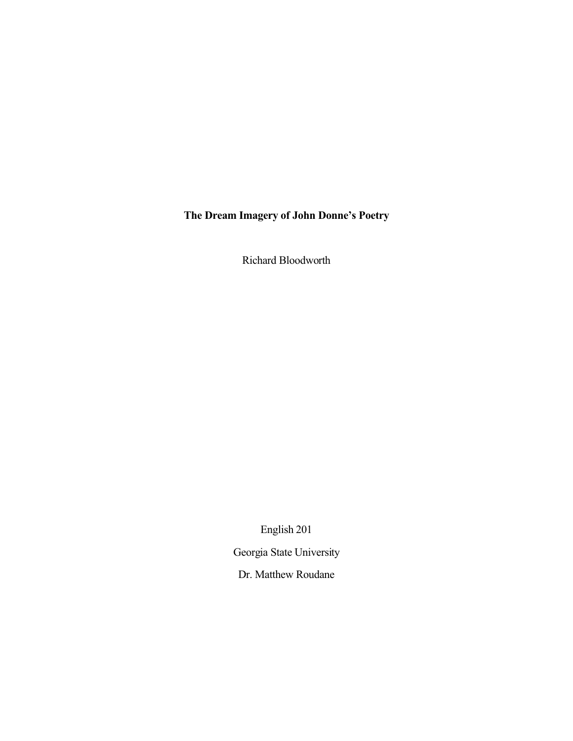**The Dream Imagery of John Donne's Poetry**

Richard Bloodworth

English 201

Georgia State University

Dr. Matthew Roudane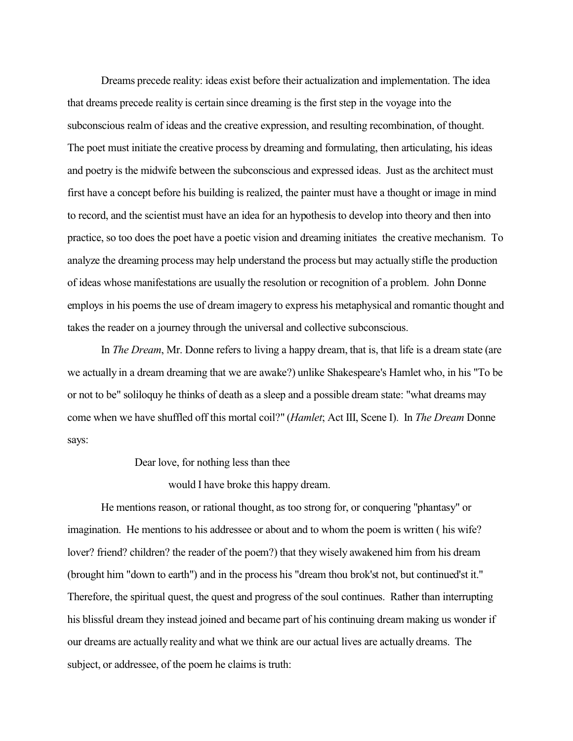Dreams precede reality: ideas exist before their actualization and implementation. The idea that dreams precede reality is certain since dreaming is the first step in the voyage into the subconscious realm of ideas and the creative expression, and resulting recombination, of thought. The poet must initiate the creative process by dreaming and formulating, then articulating, his ideas and poetry is the midwife between the subconscious and expressed ideas. Just as the architect must first have a concept before his building is realized, the painter must have a thought or image in mind to record, and the scientist must have an idea for an hypothesisto develop into theory and then into practice, so too does the poet have a poetic vision and dreaming initiates the creative mechanism. To analyze the dreaming process may help understand the process but may actually stifle the production of ideas whose manifestations are usually the resolution or recognition of a problem. John Donne employs in his poems the use of dream imagery to express his metaphysical and romantic thought and takes the reader on a journey through the universal and collective subconscious.

In *The Dream*, Mr. Donne refers to living a happy dream, that is, that life is a dream state (are we actually in a dream dreaming that we are awake?) unlike Shakespeare's Hamlet who, in his "To be or not to be" soliloquy he thinks of death as a sleep and a possible dream state: "what dreams may come when we have shuffled off this mortal coil?" (*Hamlet*; Act III, Scene I). In *The Dream* Donne says:

Dear love, for nothing less than thee

would I have broke this happy dream.

He mentions reason, or rational thought, as too strong for, or conquering "phantasy" or imagination. He mentions to his addressee or about and to whom the poem is written ( his wife? lover? friend? children? the reader of the poem?) that they wisely awakened him from his dream (brought him "down to earth") and in the process his "dream thou brok'st not, but continued'st it." Therefore, the spiritual quest, the quest and progress of the soul continues. Rather than interrupting his blissful dream they instead joined and became part of his continuing dream making us wonder if our dreams are actually reality and what we think are our actual lives are actually dreams. The subject, or addressee, of the poem he claims is truth: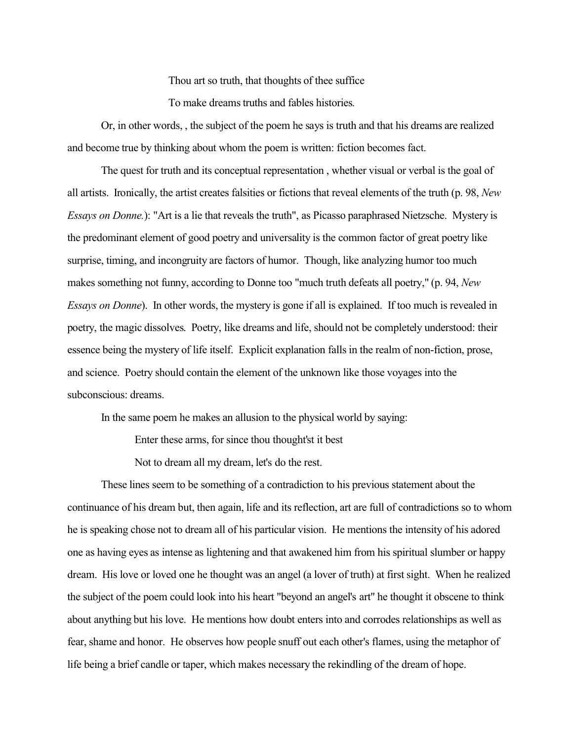Thou art so truth, that thoughts of thee suffice

To make dreams truths and fables histories.

Or, in other words, , the subject of the poem he says is truth and that his dreams are realized and become true by thinking about whom the poem is written: fiction becomes fact.

The quest for truth and its conceptual representation , whether visual or verbal is the goal of all artists. Ironically, the artist creates falsities or fictions that reveal elements of the truth (p. 98, *New Essays on Donne.*): "Art is a lie that reveals the truth", as Picasso paraphrased Nietzsche. Mystery is the predominant element of good poetry and universality is the common factor of great poetry like surprise, timing, and incongruity are factors of humor. Though, like analyzing humor too much makes something not funny, according to Donne too "much truth defeats all poetry," (p. 94, *New Essays on Donne*). In other words, the mystery is gone if all is explained. If too much is revealed in poetry, the magic dissolves. Poetry, like dreams and life, should not be completely understood: their essence being the mystery of life itself. Explicit explanation falls in the realm of non-fiction, prose, and science. Poetry should contain the element of the unknown like those voyages into the subconscious: dreams.

In the same poem he makes an allusion to the physical world by saying:

Enter these arms, for since thou thought'st it best

Not to dream all my dream, let's do the rest.

These lines seem to be something of a contradiction to his previous statement about the continuance of his dream but, then again, life and its reflection, art are full of contradictions so to whom he is speaking chose not to dream all of his particular vision. He mentions the intensity of his adored one as having eyes as intense as lightening and that awakened him from his spiritual slumber or happy dream. His love or loved one he thought was an angel (a lover of truth) at first sight. When he realized the subject of the poem could look into his heart "beyond an angel's art" he thought it obscene to think about anything but his love. He mentions how doubt enters into and corrodes relationships as well as fear, shame and honor. He observes how people snuff out each other's flames, using the metaphor of life being a brief candle or taper, which makes necessary the rekindling of the dream of hope.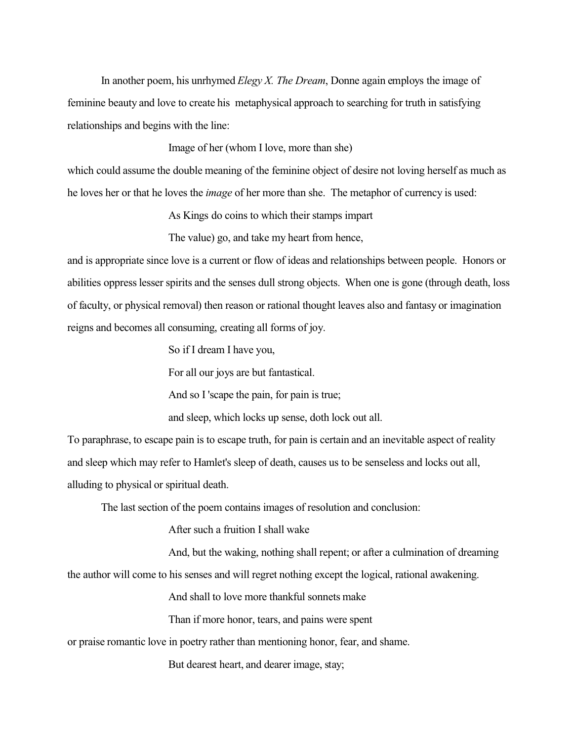In another poem, his unrhymed *Elegy X. The Dream*, Donne again employs the image of feminine beauty and love to create his metaphysical approach to searching for truth in satisfying relationships and begins with the line:

Image of her (whom I love, more than she)

which could assume the double meaning of the feminine object of desire not loving herself as much as he loves her or that he loves the *image* of her more than she. The metaphor of currency is used:

As Kings do coins to which their stamps impart

The value) go, and take my heart from hence,

and is appropriate since love is a current or flow of ideas and relationships between people. Honors or abilities oppresslesser spirits and the senses dull strong objects. When one is gone (through death, loss of faculty, or physical removal) then reason or rational thought leaves also and fantasy or imagination reigns and becomes all consuming, creating all forms of joy.

So if I dream I have you,

For all our joys are but fantastical.

And so I 'scape the pain, for pain is true;

and sleep, which locks up sense, doth lock out all.

To paraphrase, to escape pain is to escape truth, for pain is certain and an inevitable aspect of reality and sleep which may refer to Hamlet's sleep of death, causes us to be senseless and locks out all, alluding to physical or spiritual death.

The last section of the poem contains images of resolution and conclusion:

After such a fruition I shall wake

And, but the waking, nothing shall repent; or after a culmination of dreaming

the author will come to his senses and will regret nothing except the logical, rational awakening.

And shall to love more thankful sonnets make

Than if more honor, tears, and pains were spent

or praise romantic love in poetry rather than mentioning honor, fear, and shame.

But dearest heart, and dearer image, stay;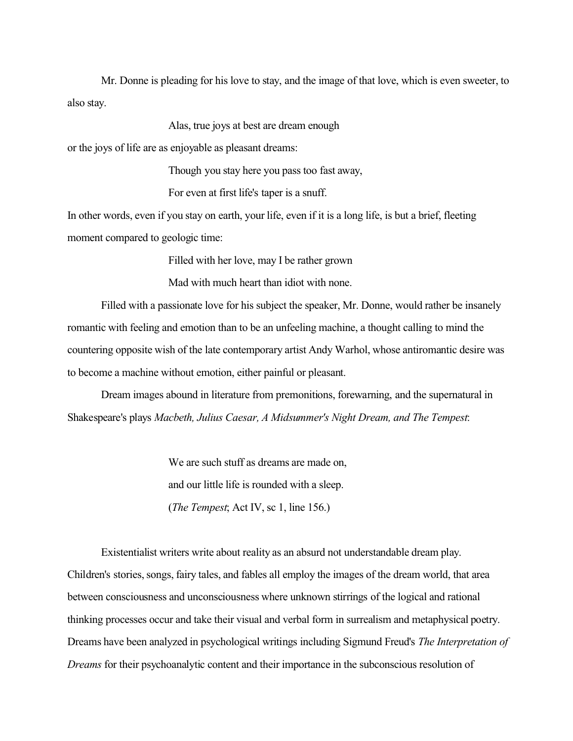Mr. Donne is pleading for his love to stay, and the image of that love, which is even sweeter, to also stay.

Alas, true joys at best are dream enough

or the joys of life are as enjoyable as pleasant dreams:

Though you stay here you pass too fast away,

For even at first life's taper is a snuff.

In other words, even if you stay on earth, your life, even if it is a long life, is but a brief, fleeting moment compared to geologic time:

Filled with her love, may I be rather grown

Mad with much heart than idiot with none.

Filled with a passionate love for his subject the speaker, Mr. Donne, would rather be insanely romantic with feeling and emotion than to be an unfeeling machine, a thought calling to mind the countering opposite wish of the late contemporary artist Andy Warhol, whose antiromantic desire was to become a machine without emotion, either painful or pleasant.

Dream images abound in literature from premonitions, forewarning, and the supernatural in Shakespeare's plays *Macbeth, Julius Caesar, A Midsummer's Night Dream, and The Tempest*:

> We are such stuff as dreams are made on, and our little life is rounded with a sleep. (*The Tempest*; Act IV, sc 1, line 156.)

Existentialist writers write about reality as an absurd not understandable dream play. Children's stories, songs, fairy tales, and fables all employ the images of the dream world, that area between consciousness and unconsciousness where unknown stirrings of the logical and rational thinking processes occur and take their visual and verbal form in surrealism and metaphysical poetry. Dreams have been analyzed in psychological writings including Sigmund Freud's *The Interpretation of Dreams* for their psychoanalytic content and their importance in the subconscious resolution of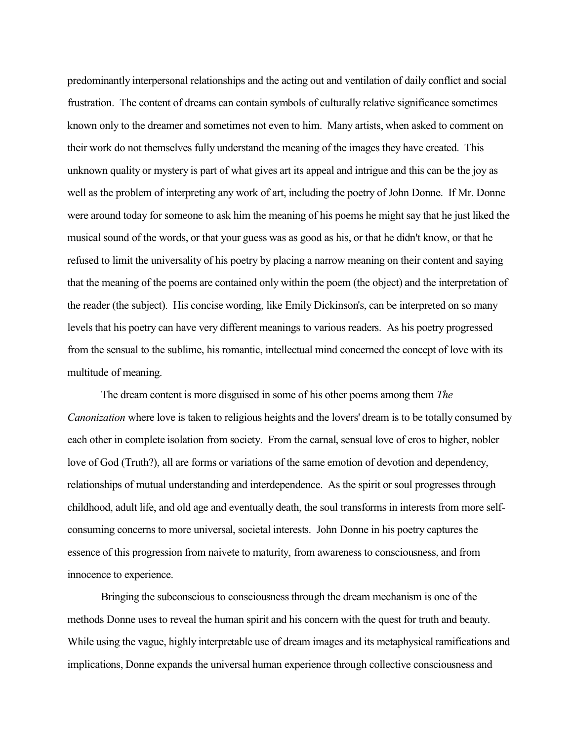predominantly interpersonal relationships and the acting out and ventilation of daily conflict and social frustration. The content of dreams can contain symbols of culturally relative significance sometimes known only to the dreamer and sometimes not even to him. Many artists, when asked to comment on their work do not themselves fully understand the meaning of the images they have created. This unknown quality or mystery is part of what gives art its appeal and intrigue and this can be the joy as well as the problem of interpreting any work of art, including the poetry of John Donne. If Mr. Donne were around today for someone to ask him the meaning of his poems he might say that he just liked the musical sound of the words, or that your guess was as good as his, or that he didn't know, or that he refused to limit the universality of his poetry by placing a narrow meaning on their content and saying that the meaning of the poems are contained only within the poem (the object) and the interpretation of the reader (the subject). His concise wording, like Emily Dickinson's, can be interpreted on so many levels that his poetry can have very different meanings to various readers. As his poetry progressed from the sensual to the sublime, his romantic, intellectual mind concerned the concept of love with its multitude of meaning.

The dream content is more disguised in some of his other poems among them *The Canonization* where love is taken to religious heights and the lovers' dream is to be totally consumed by each other in complete isolation from society. From the carnal, sensual love of eros to higher, nobler love of God (Truth?), all are forms or variations of the same emotion of devotion and dependency, relationships of mutual understanding and interdependence. As the spirit or soul progresses through childhood, adult life, and old age and eventually death, the soul transforms in interests from more selfconsuming concerns to more universal, societal interests. John Donne in his poetry captures the essence of this progression from naivete to maturity, from awareness to consciousness, and from innocence to experience.

Bringing the subconscious to consciousness through the dream mechanism is one of the methods Donne uses to reveal the human spirit and his concern with the quest for truth and beauty. While using the vague, highly interpretable use of dream images and its metaphysical ramifications and implications, Donne expands the universal human experience through collective consciousness and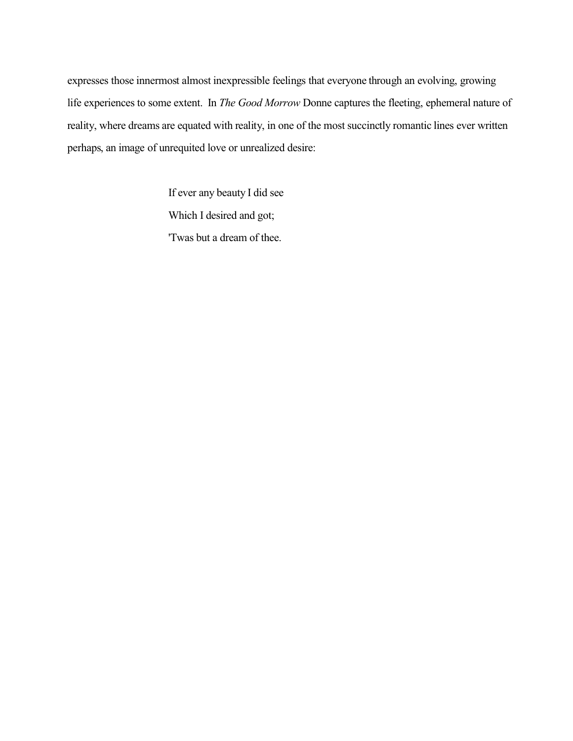expresses those innermost almost inexpressible feelings that everyone through an evolving, growing life experiences to some extent. In *The Good Morrow* Donne captures the fleeting, ephemeral nature of reality, where dreams are equated with reality, in one of the most succinctly romantic lines ever written perhaps, an image of unrequited love or unrealized desire:

> If ever any beauty I did see Which I desired and got; 'Twas but a dream of thee.